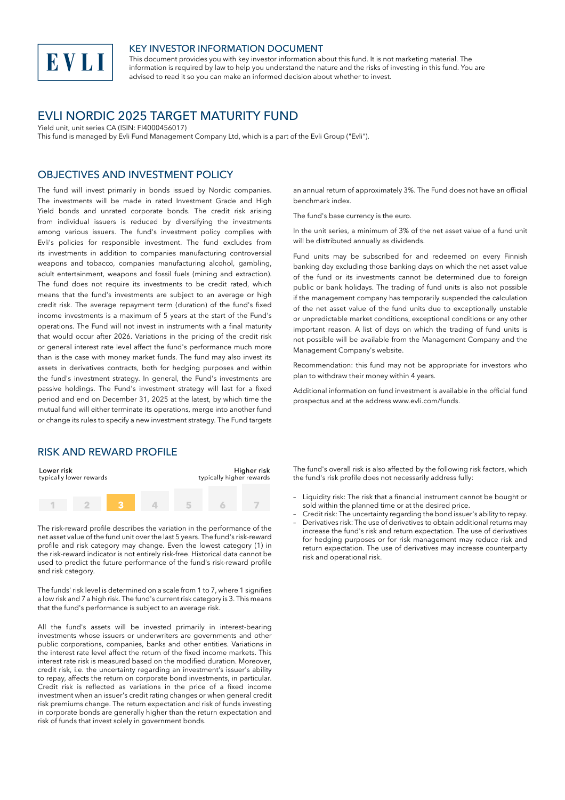

#### KEY INVESTOR INFORMATION DOCUMENT

This document provides you with key investor information about this fund. It is not marketing material. The information is required by law to help you understand the nature and the risks of investing in this fund. You are advised to read it so you can make an informed decision about whether to invest.

# EVLI NORDIC 2025 TARGET MATURITY FUND

Yield unit, unit series CA (ISIN: FI4000456017)

This fund is managed by Evli Fund Management Company Ltd, which is a part of the Evli Group ("Evli").

#### OBJECTIVES AND INVESTMENT POLICY

The fund will invest primarily in bonds issued by Nordic companies. The investments will be made in rated Investment Grade and High Yield bonds and unrated corporate bonds. The credit risk arising from individual issuers is reduced by diversifying the investments among various issuers. The fund's investment policy complies with Evli's policies for responsible investment. The fund excludes from its investments in addition to companies manufacturing controversial weapons and tobacco, companies manufacturing alcohol, gambling, adult entertainment, weapons and fossil fuels (mining and extraction). The fund does not require its investments to be credit rated, which means that the fund's investments are subject to an average or high credit risk. The average repayment term (duration) of the fund's fixed income investments is a maximum of 5 years at the start of the Fund's operations. The Fund will not invest in instruments with a final maturity that would occur after 2026. Variations in the pricing of the credit risk or general interest rate level affect the fund's performance much more than is the case with money market funds. The fund may also invest its assets in derivatives contracts, both for hedging purposes and within the fund's investment strategy. In general, the Fund's investments are passive holdings. The Fund's investment strategy will last for a fixed period and end on December 31, 2025 at the latest, by which time the mutual fund will either terminate its operations, merge into another fund or change its rules to specify a new investment strategy. The Fund targets

#### RISK AND REWARD PROFILE

| Lower risk<br>typically lower rewards |  | Higher risk<br>typically higher rewards |  |  |  |
|---------------------------------------|--|-----------------------------------------|--|--|--|
|                                       |  |                                         |  |  |  |

The risk-reward profile describes the variation in the performance of the net asset value of the fund unit over the last 5 years. The fund's risk-reward profile and risk category may change. Even the lowest category (1) in the risk-reward indicator is not entirely risk-free. Historical data cannot be used to predict the future performance of the fund's risk-reward profile and risk category.

The funds' risk level is determined on a scale from 1 to 7, where 1 signifies a low risk and 7 a high risk. The fund's current risk category is 3. This means that the fund's performance is subject to an average risk.

All the fund's assets will be invested primarily in interest-bearing investments whose issuers or underwriters are governments and other public corporations, companies, banks and other entities. Variations in the interest rate level affect the return of the fixed income markets. This interest rate risk is measured based on the modified duration. Moreover, credit risk, i.e. the uncertainty regarding an investment's issuer's ability to repay, affects the return on corporate bond investments, in particular. Credit risk is reflected as variations in the price of a fixed income investment when an issuer's credit rating changes or when general credit risk premiums change. The return expectation and risk of funds investing in corporate bonds are generally higher than the return expectation and risk of funds that invest solely in government bonds.

an annual return of approximately 3%. The Fund does not have an official benchmark index.

The fund's base currency is the euro.

In the unit series, a minimum of 3% of the net asset value of a fund unit will be distributed annually as dividends.

Fund units may be subscribed for and redeemed on every Finnish banking day excluding those banking days on which the net asset value of the fund or its investments cannot be determined due to foreign public or bank holidays. The trading of fund units is also not possible if the management company has temporarily suspended the calculation of the net asset value of the fund units due to exceptionally unstable or unpredictable market conditions, exceptional conditions or any other important reason. A list of days on which the trading of fund units is not possible will be available from the Management Company and the Management Company's website.

Recommendation: this fund may not be appropriate for investors who plan to withdraw their money within 4 years.

Additional information on fund investment is available in the official fund prospectus and at the address www.evli.com/funds.

The fund's overall risk is also affected by the following risk factors, which the fund's risk profile does not necessarily address fully:

- Liquidity risk: The risk that a financial instrument cannot be bought or sold within the planned time or at the desired price.
- Credit risk: The uncertainty regarding the bond issuer's ability to repay. – Derivatives risk: The use of derivatives to obtain additional returns may increase the fund's risk and return expectation. The use of derivatives for hedging purposes or for risk management may reduce risk and return expectation. The use of derivatives may increase counterparty risk and operational risk.